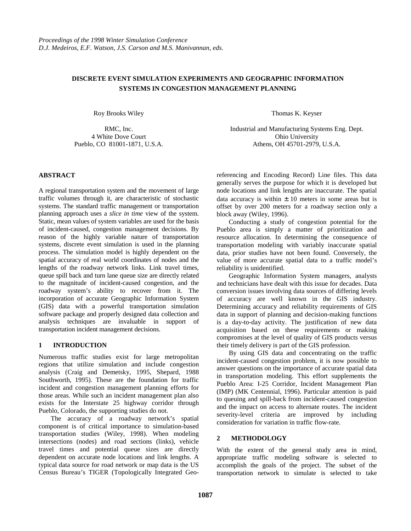# **DISCRETE EVENT SIMULATION EXPERIMENTS AND GEOGRAPHIC INFORMATION SYSTEMS IN CONGESTION MANAGEMENT PLANNING**

Roy Brooks Wiley

RMC, Inc. 4 White Dove Court Pueblo, CO 81001-1871, U.S.A.

## **ABSTRACT**

A regional transportation system and the movement of large traffic volumes through it, are characteristic of stochastic systems. The standard traffic management or transportation planning approach uses a *slice in time* view of the system. Static, mean values of system variables are used for the basis of incident-caused, congestion management decisions. By reason of the highly variable nature of transportation systems, discrete event simulation is used in the planning process. The simulation model is highly dependent on the spatial accuracy of real world coordinates of nodes and the lengths of the roadway network links. Link travel times, queue spill back and turn lane queue size are directly related to the magnitude of incident-caused congestion, and the roadway system's ability to recover from it. The incorporation of accurate Geographic Information System (GIS) data with a powerful transportation simulation software package and properly designed data collection and analysis techniques are invaluable in support of transportation incident management decisions.

## **1 INTRODUCTION**

Numerous traffic studies exist for large metropolitan regions that utilize simulation and include congestion analysis (Craig and Demetsky, 1995, Shepard, 1988 Southworth, 1995). These are the foundation for traffic incident and congestion management planning efforts for those areas. While such an incident management plan also exists for the Interstate 25 highway corridor through Pueblo, Colorado, the supporting studies do not.

The accuracy of a roadway network's spatial component is of critical importance to simulation-based transportation studies (Wiley, 1998). When modeling intersections (nodes) and road sections (links), vehicle travel times and potential queue sizes are directly dependent on accurate node locations and link lengths. A typical data source for road network or map data is the US Census Bureau's TIGER (Topologically Integrated GeoThomas K. Keyser

Industrial and Manufacturing Systems Eng. Dept. Ohio University Athens, OH 45701-2979, U.S.A.

referencing and Encoding Record) Line files. This data generally serves the purpose for which it is developed but node locations and link lengths are inaccurate. The spatial data accuracy is within  $\pm 10$  meters in some areas but is offset by over 200 meters for a roadway section only a block away (Wiley, 1996).

Conducting a study of congestion potential for the Pueblo area is simply a matter of prioritization and resource allocation. In determining the consequence of transportation modeling with variably inaccurate spatial data, prior studies have not been found. Conversely, the value of more accurate spatial data to a traffic model's reliability is unidentified.

Geographic Information System managers, analysts and technicians have dealt with this issue for decades. Data conversion issues involving data sources of differing levels of accuracy are well known in the GIS industry. Determining accuracy and reliability requirements of GIS data in support of planning and decision-making functions is a day-to-day activity. The justification of new data acquisition based on these requirements or making compromises at the level of quality of GIS products versus their timely delivery is part of the GIS profession.

By using GIS data and concentrating on the traffic incident-caused congestion problem, it is now possible to answer questions on the importance of accurate spatial data in transportation modeling. This effort supplements the Pueblo Area: I-25 Corridor, Incident Management Plan (IMP) (MK Centennial, 1996). Particular attention is paid to queuing and spill-back from incident-caused congestion and the impact on access to alternate routes. The incident severity-level criteria are improved by including consideration for variation in traffic flow-rate.

## **2 METHODOLOGY**

With the extent of the general study area in mind, appropriate traffic modeling software is selected to accomplish the goals of the project. The subset of the transportation network to simulate is selected to take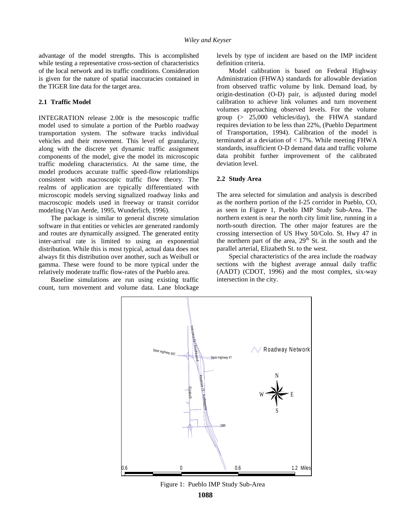advantage of the model strengths. This is accomplished while testing a representative cross-section of characteristics of the local network and its traffic conditions. Consideration is given for the nature of spatial inaccuracies contained in the TIGER line data for the target area.

## **2.1 Traffic Model**

INTEGRATION release 2.00r is the mesoscopic traffic model used to simulate a portion of the Pueblo roadway transportation system. The software tracks individual vehicles and their movement. This level of granularity, along with the discrete yet dynamic traffic assignment components of the model, give the model its microscopic traffic modeling characteristics. At the same time, the model produces accurate traffic speed-flow relationships consistent with macroscopic traffic flow theory. The realms of application are typically differentiated with microscopic models serving signalized roadway links and macroscopic models used in freeway or transit corridor modeling (Van Aerde, 1995, Wunderlich, 1996).

The package is similar to general discrete simulation software in that entities or vehicles are generated randomly and routes are dynamically assigned. The generated entity inter-arrival rate is limited to using an exponential distribution. While this is most typical, actual data does not always fit this distribution over another, such as Weibull or gamma. These were found to be more typical under the relatively moderate traffic flow-rates of the Pueblo area.

Baseline simulations are run using existing traffic count, turn movement and volume data. Lane blockage

levels by type of incident are based on the IMP incident definition criteria.

Model calibration is based on Federal Highway Administration (FHWA) standards for allowable deviation from observed traffic volume by link. Demand load, by origin-destination (O-D) pair, is adjusted during model calibration to achieve link volumes and turn movement volumes approaching observed levels. For the volume group (> 25,000 vehicles/day), the FHWA standard requires deviation to be less than 22%, (Pueblo Department of Transportation, 1994). Calibration of the model is terminated at a deviation of < 17%. While meeting FHWA standards, insufficient O-D demand data and traffic volume data prohibit further improvement of the calibrated deviation level.

### **2.2 Study Area**

The area selected for simulation and analysis is described as the northern portion of the I-25 corridor in Pueblo, CO, as seen in Figure 1, Pueblo IMP Study Sub-Area. The northern extent is near the north city limit line, running in a north-south direction. The other major features are the crossing intersection of US Hwy 50/Colo. St. Hwy 47 in the northern part of the area,  $29<sup>th</sup>$  St. in the south and the parallel arterial, Elizabeth St. to the west.

Special characteristics of the area include the roadway sections with the highest average annual daily traffic (AADT) (CDOT, 1996) and the most complex, six-way intersection in the city.



Figure 1: Pueblo IMP Study Sub-Area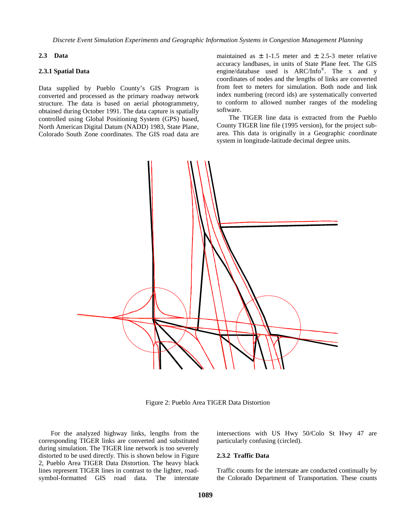#### **2.3 Data**

#### **2.3.1 Spatial Data**

Data supplied by Pueblo County's GIS Program is converted and processed as the primary roadway network structure. The data is based on aerial photogrammetry, obtained during October 1991. The data capture is spatially controlled using Global Positioning System (GPS) based, North American Digital Datum (NADD) 1983, State Plane, Colorado South Zone coordinates. The GIS road data are

maintained as  $\pm$  1-1.5 meter and  $\pm$  2.5-3 meter relative accuracy landbases, in units of State Plane feet. The GIS engine/database used is ARC/Info®. The x and y coordinates of nodes and the lengths of links are converted from feet to meters for simulation. Both node and link index numbering (record ids) are systematically converted to conform to allowed number ranges of the modeling software.

The TIGER line data is extracted from the Pueblo County TIGER line file (1995 version), for the project subarea. This data is originally in a Geographic coordinate system in longitude-latitude decimal degree units.



Figure 2: Pueblo Area TIGER Data Distortion

For the analyzed highway links, lengths from the corresponding TIGER links are converted and substituted during simulation. The TIGER line network is too severely distorted to be used directly. This is shown below in Figure 2, Pueblo Area TIGER Data Distortion. The heavy black lines represent TIGER lines in contrast to the lighter, roadsymbol-formatted GIS road data. The interstate

intersections with US Hwy 50/Colo St Hwy 47 are particularly confusing (circled).

#### **2.3.2 Traffic Data**

Traffic counts for the interstate are conducted continually by the Colorado Department of Transportation. These counts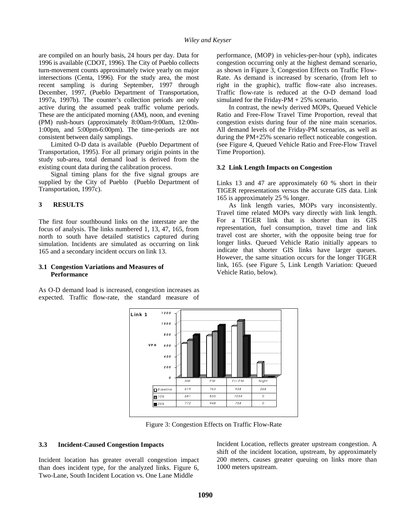are compiled on an hourly basis, 24 hours per day. Data for 1996 is available (CDOT, 1996). The City of Pueblo collects turn-movement counts approximately twice yearly on major intersections (Centa, 1996). For the study area, the most recent sampling is during September, 1997 through December, 1997, (Pueblo Department of Transportation, 1997a, 1997b). The counter's collection periods are only active during the assumed peak traffic volume periods. These are the anticipated morning (AM), noon, and evening (PM) rush-hours (approximately 8:00am-9:00am, 12:00n-1:00pm, and 5:00pm-6:00pm). The time-periods are not consistent between daily samplings.

Limited O-D data is available (Pueblo Department of Transportation, 1995). For all primary origin points in the study sub-area, total demand load is derived from the existing count data during the calibration process.

Signal timing plans for the five signal groups are supplied by the City of Pueblo (Pueblo Department of Transportation, 1997c).

#### **3 RESULTS**

The first four southbound links on the interstate are the focus of analysis. The links numbered 1, 13, 47, 165, from north to south have detailed statistics captured during simulation. Incidents are simulated as occurring on link 165 and a secondary incident occurs on link 13.

#### **3.1 Congestion Variations and Measures of Performance**

As O-D demand load is increased, congestion increases as expected. Traffic flow-rate, the standard measure of

performance, (MOP) in vehicles-per-hour (vph), indicates congestion occurring only at the highest demand scenario, as shown in Figure 3, Congestion Effects on Traffic Flow-Rate. As demand is increased by scenario, (from left to right in the graphic), traffic flow-rate also increases. Traffic flow-rate is reduced at the O-D demand load simulated for the Friday-PM  $+ 25%$  scenario.

In contrast, the newly derived MOPs, Queued Vehicle Ratio and Free-Flow Travel Time Proportion, reveal that congestion exists during four of the nine main scenarios. All demand levels of the Friday-PM scenarios, as well as during the PM+25% scenario reflect noticeable congestion. (see Figure 4, Queued Vehicle Ratio and Free-Flow Travel Time Proportion).

#### **3.2 Link Length Impacts on Congestion**

Links 13 and 47 are approximately 60 % short in their TIGER representations versus the accurate GIS data. Link 165 is approximately 25 % longer.

As link length varies, MOPs vary inconsistently. Travel time related MOPs vary directly with link length. For a TIGER link that is shorter than its GIS representation, fuel consumption, travel time and link travel cost are shorter, with the opposite being true for longer links. Queued Vehicle Ratio initially appears to indicate that shorter GIS links have larger queues. However, the same situation occurs for the longer TIGER link, 165. (see Figure 5, Link Length Variation: Queued Vehicle Ratio, below).



Figure 3: Congestion Effects on Traffic Flow-Rate

#### **3.3 Incident-Caused Congestion Impacts**

Incident location has greater overall congestion impact than does incident type, for the analyzed links. Figure 6, Two-Lane, South Incident Location vs. One Lane Middle

Incident Location, reflects greater upstream congestion. A shift of the incident location, upstream, by approximately 200 meters, causes greater queuing on links more than 1000 meters upstream.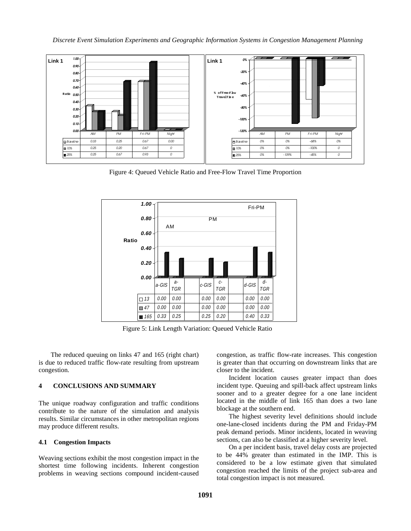

Figure 4: Queued Vehicle Ratio and Free-Flow Travel Time Proportion



Figure 5: Link Length Variation: Queued Vehicle Ratio

The reduced queuing on links 47 and 165 (right chart) is due to reduced traffic flow-rate resulting from upstream congestion.

## **4 CONCLUSIONS AND SUMMARY**

The unique roadway configuration and traffic conditions contribute to the nature of the simulation and analysis results. Similar circumstances in other metropolitan regions may produce different results.

## **4.1 Congestion Impacts**

Weaving sections exhibit the most congestion impact in the shortest time following incidents. Inherent congestion problems in weaving sections compound incident-caused congestion, as traffic flow-rate increases. This congestion is greater than that occurring on downstream links that are closer to the incident.

Incident location causes greater impact than does incident type. Queuing and spill-back affect upstream links sooner and to a greater degree for a one lane incident located in the middle of link 165 than does a two lane blockage at the southern end.

The highest severity level definitions should include one-lane-closed incidents during the PM and Friday-PM peak demand periods. Minor incidents, located in weaving sections, can also be classified at a higher severity level.

On a per incident basis, travel delay costs are projected to be 44% greater than estimated in the IMP. This is considered to be a low estimate given that simulated congestion reached the limits of the project sub-area and total congestion impact is not measured.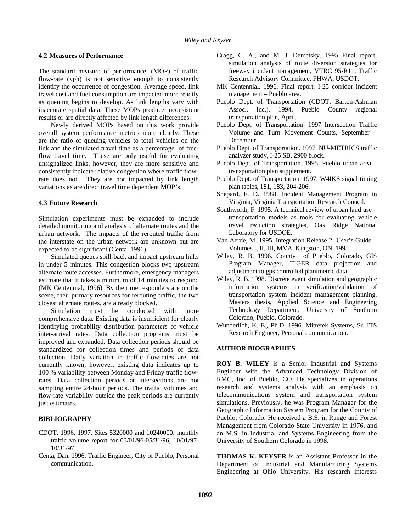### **4.2 Measures of Performance**

The standard measure of performance, (MOP) of traffic flow-rate (vph) is not sensitive enough to consistently identify the occurrence of congestion. Average speed, link travel cost and fuel consumption are impacted more readily as queuing begins to develop. As link lengths vary with inaccurate spatial data, These MOPs produce inconsistent results or are directly affected by link length differences.

Newly derived MOPs based on this work provide overall system performance metrics more clearly. These are the ratio of queuing vehicles to total vehicles on the link and the simulated travel time as a percentage of freeflow travel time. These are only useful for evaluating unsignalized links, however, they are more sensitive and consistently indicate relative congestion where traffic flowrate does not. They are not impacted by link length variations as are direct travel time dependent MOP's.

### **4.3 Future Research**

Simulation experiments must be expanded to include detailed monitoring and analysis of alternate routes and the urban network. The impacts of the rerouted traffic from the interstate on the urban network are unknown but are expected to be significant (Centa, 1996).

Simulated queues spill-back and impact upstream links in under 5 minutes. This congestion blocks two upstream alternate route accesses. Furthermore, emergency managers estimate that it takes a minimum of 14 minutes to respond (MK Centennial, 1996). By the time responders are on the scene, their primary resources for rerouting traffic, the two closest alternate routes, are already blocked.

Simulation must be conducted with more comprehensive data. Existing data is insufficient for clearly identifying probability distribution parameters of vehicle inter-arrival rates. Data collection programs must be improved and expanded. Data collection periods should be standardized for collection times and periods of data collection. Daily variation in traffic flow-rates are not currently known, however, existing data indicates up to 100 % variability between Monday and Friday traffic flowrates. Data collection periods at intersections are not sampling entire 24-hour periods. The traffic volumes and flow-rate variability outside the peak periods are currently just estimates.

## **BIBLIOGRAPHY**

- CDOT. 1996, 1997. Sites 5320000 and 10240000: monthly traffic volume report for 03/01/96-05/31/96, 10/01/97- 10/31/97.
- Centa, Dan. 1996. Traffic Engineer, City of Pueblo, Personal communication.
- Cragg, C. A., and M. J. Demetsky. 1995 Final report: simulation analysis of route diversion strategies for freeway incident management, VTRC 95-R11, Traffic Research Advisory Committee, FHWA, USDOT.
- MK Centennial. 1996. Final report: I-25 corridor incident management – Pueblo area.
- Pueblo Dept. of Transportation (CDOT, Barton-Ashman Assoc., Inc.). 1994. Pueblo County regional transportation plan, April.
- Pueblo Dept. of Transportation. 1997 Intersection Traffic Volume and Turn Movement Counts, September – December.
- Pueblo Dept. of Transportation. 1997. NU-METRICS traffic analyzer study, I-25 SB, 2900 block.
- Pueblo Dept. of Transportation. 1995. Pueblo urban area transportation plan supplement.
- Pueblo Dept. of Transportation. 1997. W4IKS signal timing plan tables, 181, 183, 204-206.
- Shepard, F. D. 1988. Incident Management Program in Virginia, Virginia Transportation Research Council.
- Southworth, F. 1995. A technical review of urban land use transportation models as tools for evaluating vehicle travel reduction strategies, Oak Ridge National Laboratory for USDOE.
- Van Aerde, M. 1995. Integration Release 2: User's Guide Volumes I, II, III, MVA. Kingston, ON, 1995
- Wiley, R. B. 1996. County of Pueblo, Colorado, GIS Program Manager, TIGER data projection and adjustment to gps controlled planimetric data.
- Wiley, R. B. 1998. Discrete event simulation and geographic information systems in verification/validation of transportation system incident management planning, Masters thesis, Applied Science and Engineering Technology Department, University of Southern Colorado, Pueblo, Colorado.
- Wunderlich, K. E., Ph.D. 1996. Mitretek Systems, Sr. ITS Research Engineer, Personal communication.

## **AUTHOR BIOGRAPHIES**

**ROY B. WILEY** is a Senior Industrial and Systems Engineer with the Advanced Technology Division of RMC, Inc. of Pueblo, CO. He specializes in operations research and systems analysis with an emphasis on telecommunications system and transportation system simulations. Previously, he was Program Manager for the Geographic Information System Program for the County of Pueblo, Colorado. He received a B.S. in Range and Forest Management from Colorado State University in 1976, and an M.S. in Industrial and Systems Engineering from the University of Southern Colorado in 1998.

**THOMAS K. KEYSER** is an Assistant Professor in the Department of Industrial and Manufacturing Systems Engineering at Ohio University. His research interests